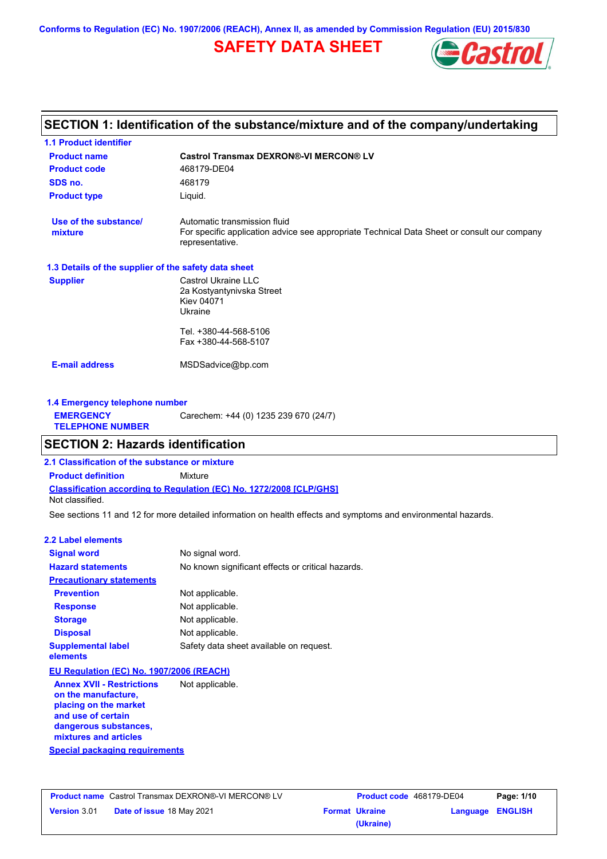**Conforms to Regulation (EC) No. 1907/2006 (REACH), Annex II, as amended by Commission Regulation (EU) 2015/830**

## **SAFETY DATA SHEET**



## **SECTION 1: Identification of the substance/mixture and of the company/undertaking**

| <b>1.1 Product identifier</b>                        |                                                                                                                                                |
|------------------------------------------------------|------------------------------------------------------------------------------------------------------------------------------------------------|
| <b>Product name</b>                                  | <b>Castrol Transmax DEXRON®-VI MERCON® LV</b>                                                                                                  |
| <b>Product code</b>                                  | 468179-DE04                                                                                                                                    |
| SDS no.                                              | 468179                                                                                                                                         |
| <b>Product type</b>                                  | Liquid.                                                                                                                                        |
| Use of the substance/<br>mixture                     | Automatic transmission fluid<br>For specific application advice see appropriate Technical Data Sheet or consult our company<br>representative. |
| 1.3 Details of the supplier of the safety data sheet |                                                                                                                                                |
| <b>Supplier</b>                                      | Castrol Ukraine LLC<br>2a Kostyantynivska Street<br><b>Kiev 04071</b><br>Ukraine                                                               |
|                                                      | Tel. +380-44-568-5106<br>Fax +380-44-568-5107                                                                                                  |
| <b>E-mail address</b>                                | MSDSadvice@bp.com                                                                                                                              |
| 1.4 Emergency telephone number                       |                                                                                                                                                |
| <b>EMERGENCY</b><br><b>TELEPHONE NUMBER</b>          | Carechem: +44 (0) 1235 239 670 (24/7)                                                                                                          |

### **SECTION 2: Hazards identification**

**Classification according to Regulation (EC) No. 1272/2008 [CLP/GHS] 2.1 Classification of the substance or mixture Product definition** Mixture Not classified.

See sections 11 and 12 for more detailed information on health effects and symptoms and environmental hazards.

### **2.2 Label elements**

| <b>Signal word</b>                                                                                                              | No signal word.                                   |
|---------------------------------------------------------------------------------------------------------------------------------|---------------------------------------------------|
| <b>Hazard statements</b>                                                                                                        | No known significant effects or critical hazards. |
| <b>Precautionary statements</b>                                                                                                 |                                                   |
| <b>Prevention</b>                                                                                                               | Not applicable.                                   |
| <b>Response</b>                                                                                                                 | Not applicable.                                   |
| <b>Storage</b>                                                                                                                  | Not applicable.                                   |
| <b>Disposal</b>                                                                                                                 | Not applicable.                                   |
| <b>Supplemental label</b><br>elements                                                                                           | Safety data sheet available on request.           |
| EU Regulation (EC) No. 1907/2006 (REACH)                                                                                        |                                                   |
| <b>Annex XVII - Restrictions</b><br>on the manufacture,<br>placing on the market<br>and use of certain<br>dangerous substances, | Not applicable.                                   |

**Special packaging requirements**

**mixtures and articles**

|                     | <b>Product name</b> Castrol Transmax DEXRON®-VI MERCON® LV | <b>Product</b>        |
|---------------------|------------------------------------------------------------|-----------------------|
| <b>Version 3.01</b> | <b>Date of issue 18 May 2021</b>                           | <b>Format Ukraine</b> |
|                     |                                                            | 1!                    |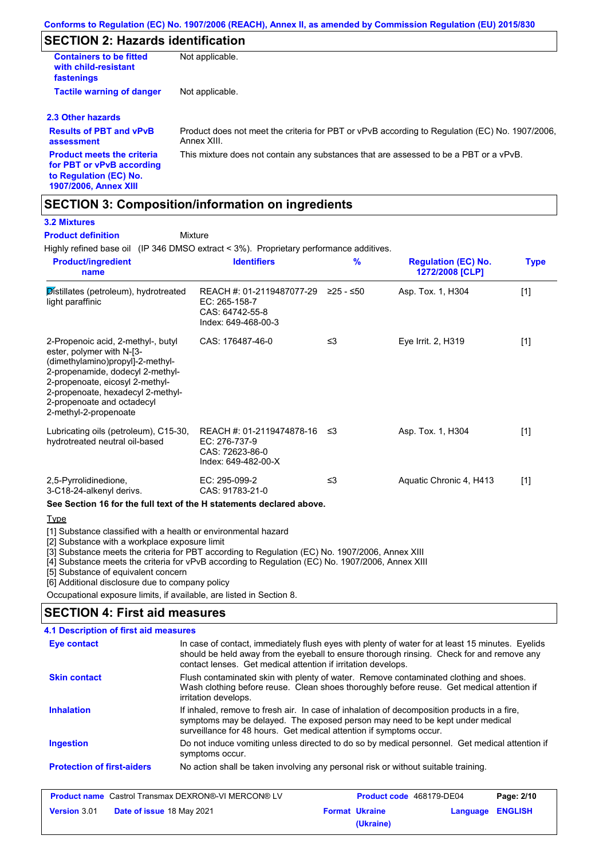## **SECTION 2: Hazards identification**

| <b>Containers to be fitted</b><br>with child-resistant<br>fastenings                                                     | Not applicable.                                                                                               |
|--------------------------------------------------------------------------------------------------------------------------|---------------------------------------------------------------------------------------------------------------|
| <b>Tactile warning of danger</b>                                                                                         | Not applicable.                                                                                               |
| 2.3 Other hazards                                                                                                        |                                                                                                               |
| <b>Results of PBT and vPvB</b><br>assessment                                                                             | Product does not meet the criteria for PBT or vPvB according to Regulation (EC) No. 1907/2006.<br>Annex XIII. |
| <b>Product meets the criteria</b><br>for PBT or vPvB according<br>to Regulation (EC) No.<br><b>1907/2006, Annex XIII</b> | This mixture does not contain any substances that are assessed to be a PBT or a vPvB.                         |

## **SECTION 3: Composition/information on ingredients**

### **3.2 Mixtures**

**Product definition**

Mixture

Highly refined base oil (IP 346 DMSO extract < 3%). Proprietary performance additives.

| <b>Product/ingredient</b><br>name                                                                                                                                                                                                                                      | <b>Identifiers</b>                                                                   | $\frac{9}{6}$ | <b>Regulation (EC) No.</b><br>1272/2008 [CLP] | <b>Type</b> |
|------------------------------------------------------------------------------------------------------------------------------------------------------------------------------------------------------------------------------------------------------------------------|--------------------------------------------------------------------------------------|---------------|-----------------------------------------------|-------------|
| Distillates (petroleum), hydrotreated<br>light paraffinic                                                                                                                                                                                                              | REACH #: 01-2119487077-29<br>EC: 265-158-7<br>CAS: 64742-55-8<br>Index: 649-468-00-3 | ≥25 - ≤50     | Asp. Tox. 1, H304                             | $[1]$       |
| 2-Propenoic acid, 2-methyl-, butyl<br>ester, polymer with N-[3-<br>(dimethylamino)propyl]-2-methyl-<br>2-propenamide, dodecyl 2-methyl-<br>2-propenoate, eicosyl 2-methyl-<br>2-propenoate, hexadecyl 2-methyl-<br>2-propenoate and octadecyl<br>2-methyl-2-propenoate | CAS: 176487-46-0                                                                     | ≤3            | Eye Irrit. 2, H319                            | $[1]$       |
| Lubricating oils (petroleum), C15-30,<br>hydrotreated neutral oil-based                                                                                                                                                                                                | REACH #: 01-2119474878-16<br>EC: 276-737-9<br>CAS: 72623-86-0<br>Index: 649-482-00-X | -≤3           | Asp. Tox. 1, H304                             | $[1]$       |
| 2,5-Pyrrolidinedione,<br>3-C18-24-alkenyl derivs.<br>See Section 16 for the full text of the H statements declared above.                                                                                                                                              | EC: 295-099-2<br>CAS: 91783-21-0                                                     | ≤3            | Aquatic Chronic 4, H413                       | $[1]$       |

**Type** 

[1] Substance classified with a health or environmental hazard

[2] Substance with a workplace exposure limit

[3] Substance meets the criteria for PBT according to Regulation (EC) No. 1907/2006, Annex XIII

[4] Substance meets the criteria for vPvB according to Regulation (EC) No. 1907/2006, Annex XIII

[5] Substance of equivalent concern

[6] Additional disclosure due to company policy

Occupational exposure limits, if available, are listed in Section 8.

### **SECTION 4: First aid measures**

| 4.1 Description of first aid measures |                                                                                                                                                                                                                                                                |
|---------------------------------------|----------------------------------------------------------------------------------------------------------------------------------------------------------------------------------------------------------------------------------------------------------------|
| Eye contact                           | In case of contact, immediately flush eyes with plenty of water for at least 15 minutes. Eyelids<br>should be held away from the eyeball to ensure thorough rinsing. Check for and remove any<br>contact lenses. Get medical attention if irritation develops. |
| <b>Skin contact</b>                   | Flush contaminated skin with plenty of water. Remove contaminated clothing and shoes.<br>Wash clothing before reuse. Clean shoes thoroughly before reuse. Get medical attention if<br>irritation develops.                                                     |
| <b>Inhalation</b>                     | If inhaled, remove to fresh air. In case of inhalation of decomposition products in a fire,<br>symptoms may be delayed. The exposed person may need to be kept under medical<br>surveillance for 48 hours. Get medical attention if symptoms occur.            |
| <b>Ingestion</b>                      | Do not induce vomiting unless directed to do so by medical personnel. Get medical attention if<br>symptoms occur.                                                                                                                                              |
| <b>Protection of first-aiders</b>     | No action shall be taken involving any personal risk or without suitable training.                                                                                                                                                                             |

| <b>Product name</b> Castrol Transmax DEXRON®-VI MERCON® LV |                           | <b>Product code</b> 468179-DE04 |                       | Page: 2/10       |  |
|------------------------------------------------------------|---------------------------|---------------------------------|-----------------------|------------------|--|
| <b>Version 3.01</b>                                        | Date of issue 18 May 2021 |                                 | <b>Format Ukraine</b> | Language ENGLISH |  |
|                                                            |                           |                                 | (Ukraine)             |                  |  |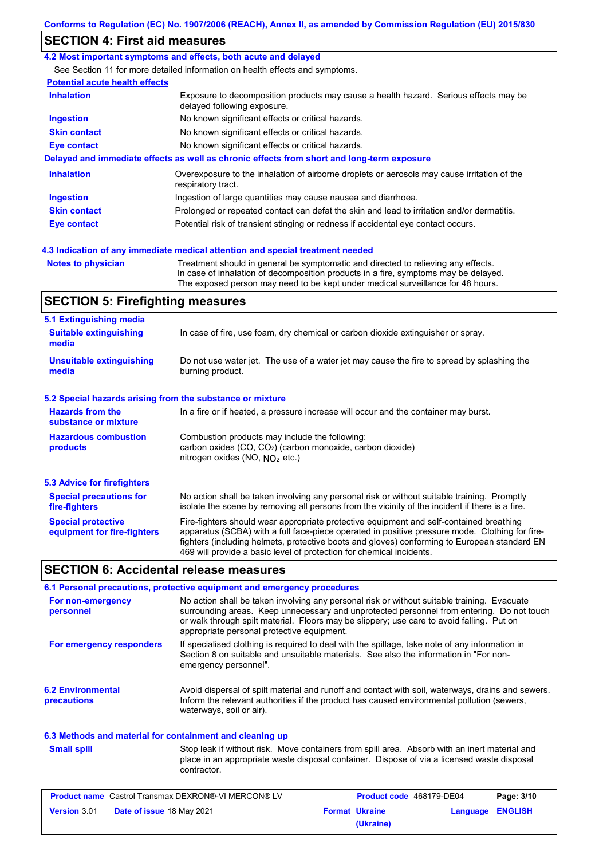## **SECTION 4: First aid measures**

### **4.2 Most important symptoms and effects, both acute and delayed**

See Section 11 for more detailed information on health effects and symptoms.

### **Potential acute health effects**

| <b>Inhalation</b>   | Exposure to decomposition products may cause a health hazard. Serious effects may be<br>delayed following exposure. |
|---------------------|---------------------------------------------------------------------------------------------------------------------|
| <b>Ingestion</b>    | No known significant effects or critical hazards.                                                                   |
| <b>Skin contact</b> | No known significant effects or critical hazards.                                                                   |
| Eye contact         | No known significant effects or critical hazards.                                                                   |
|                     | Delayed and immediate effects as well as chronic effects from short and long-term exposure                          |
| <b>Inhalation</b>   | Overexposure to the inhalation of airborne droplets or aerosols may cause irritation of the<br>respiratory tract.   |
| Ingestion           | Ingestion of large quantities may cause nausea and diarrhoea.                                                       |
| <b>Skin contact</b> | Prolonged or repeated contact can defat the skin and lead to irritation and/or dermatitis.                          |
| Eye contact         | Potential risk of transient stinging or redness if accidental eye contact occurs.                                   |
|                     |                                                                                                                     |

### **4.3 Indication of any immediate medical attention and special treatment needed**

**Notes to physician** Treatment should in general be symptomatic and directed to relieving any effects. In case of inhalation of decomposition products in a fire, symptoms may be delayed. The exposed person may need to be kept under medical surveillance for 48 hours.

## **SECTION 5: Firefighting measures**

| 5.1 Extinguishing media                                   |                                                                                                                                                                                                                                                                                                                                                                   |
|-----------------------------------------------------------|-------------------------------------------------------------------------------------------------------------------------------------------------------------------------------------------------------------------------------------------------------------------------------------------------------------------------------------------------------------------|
| <b>Suitable extinguishing</b><br>media                    | In case of fire, use foam, dry chemical or carbon dioxide extinguisher or spray.                                                                                                                                                                                                                                                                                  |
| <b>Unsuitable extinguishing</b><br>media                  | Do not use water jet. The use of a water jet may cause the fire to spread by splashing the<br>burning product.                                                                                                                                                                                                                                                    |
| 5.2 Special hazards arising from the substance or mixture |                                                                                                                                                                                                                                                                                                                                                                   |
| <b>Hazards from the</b><br>substance or mixture           | In a fire or if heated, a pressure increase will occur and the container may burst.                                                                                                                                                                                                                                                                               |
| <b>Hazardous combustion</b><br>products                   | Combustion products may include the following:<br>carbon oxides (CO, CO <sub>2</sub> ) (carbon monoxide, carbon dioxide)<br>nitrogen oxides (NO, $NQ_2$ etc.)                                                                                                                                                                                                     |
| 5.3 Advice for firefighters                               |                                                                                                                                                                                                                                                                                                                                                                   |
| <b>Special precautions for</b><br>fire-fighters           | No action shall be taken involving any personal risk or without suitable training. Promptly<br>isolate the scene by removing all persons from the vicinity of the incident if there is a fire.                                                                                                                                                                    |
| <b>Special protective</b><br>equipment for fire-fighters  | Fire-fighters should wear appropriate protective equipment and self-contained breathing<br>apparatus (SCBA) with a full face-piece operated in positive pressure mode. Clothing for fire-<br>fighters (including helmets, protective boots and gloves) conforming to European standard EN<br>469 will provide a basic level of protection for chemical incidents. |

## **SECTION 6: Accidental release measures**

|                                         | 6.1 Personal precautions, protective equipment and emergency procedures                                                                                                                                                                                                                                                             |
|-----------------------------------------|-------------------------------------------------------------------------------------------------------------------------------------------------------------------------------------------------------------------------------------------------------------------------------------------------------------------------------------|
| For non-emergency<br>personnel          | No action shall be taken involving any personal risk or without suitable training. Evacuate<br>surrounding areas. Keep unnecessary and unprotected personnel from entering. Do not touch<br>or walk through spilt material. Floors may be slippery; use care to avoid falling. Put on<br>appropriate personal protective equipment. |
| For emergency responders                | If specialised clothing is required to deal with the spillage, take note of any information in<br>Section 8 on suitable and unsuitable materials. See also the information in "For non-<br>emergency personnel".                                                                                                                    |
| <b>6.2 Environmental</b><br>precautions | Avoid dispersal of spilt material and runoff and contact with soil, waterways, drains and sewers.<br>Inform the relevant authorities if the product has caused environmental pollution (sewers,<br>waterways, soil or air).                                                                                                         |

### **6.3 Methods and material for containment and cleaning up**

| <b>Small spill</b> | Stop leak if without risk. Move containers from spill area. Absorb with an inert material and             |
|--------------------|-----------------------------------------------------------------------------------------------------------|
|                    | place in an appropriate waste disposal container. Dispose of via a licensed waste disposal<br>contractor. |
|                    |                                                                                                           |

| <b>Product name</b> Castrol Transmax DEXRON®-VI MERCON® LV |                                  | Product code 468179-DE04 |                       | Page: 3/10       |  |
|------------------------------------------------------------|----------------------------------|--------------------------|-----------------------|------------------|--|
| <b>Version 3.01</b>                                        | <b>Date of issue 18 May 2021</b> |                          | <b>Format Ukraine</b> | Language ENGLISH |  |
|                                                            |                                  |                          | (Ukraine)             |                  |  |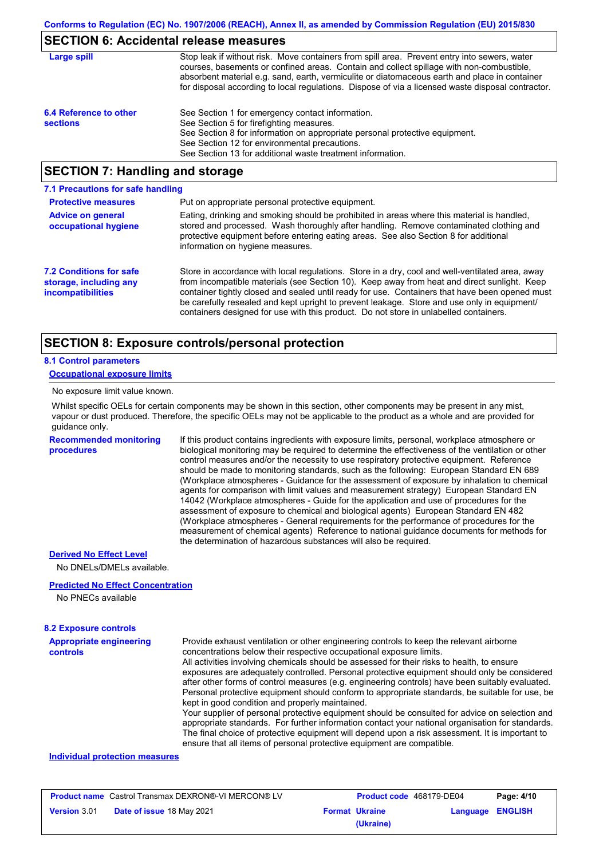## **SECTION 6: Accidental release measures**

| Large spill                               | Stop leak if without risk. Move containers from spill area. Prevent entry into sewers, water<br>courses, basements or confined areas. Contain and collect spillage with non-combustible,<br>absorbent material e.g. sand, earth, vermiculite or diatomaceous earth and place in container<br>for disposal according to local regulations. Dispose of via a licensed waste disposal contractor. |
|-------------------------------------------|------------------------------------------------------------------------------------------------------------------------------------------------------------------------------------------------------------------------------------------------------------------------------------------------------------------------------------------------------------------------------------------------|
| 6.4 Reference to other<br><b>sections</b> | See Section 1 for emergency contact information.<br>See Section 5 for firefighting measures.<br>See Section 8 for information on appropriate personal protective equipment.<br>See Section 12 for environmental precautions.<br>See Section 13 for additional waste treatment information.                                                                                                     |

### **SECTION 7: Handling and storage**

| 7.1 Precautions for safe handling                                                    |                                                                                                                                                                                                                                                                                                                                                                                                                                                                                         |
|--------------------------------------------------------------------------------------|-----------------------------------------------------------------------------------------------------------------------------------------------------------------------------------------------------------------------------------------------------------------------------------------------------------------------------------------------------------------------------------------------------------------------------------------------------------------------------------------|
| <b>Protective measures</b>                                                           | Put on appropriate personal protective equipment.                                                                                                                                                                                                                                                                                                                                                                                                                                       |
| <b>Advice on general</b><br>occupational hygiene                                     | Eating, drinking and smoking should be prohibited in areas where this material is handled.<br>stored and processed. Wash thoroughly after handling. Remove contaminated clothing and<br>protective equipment before entering eating areas. See also Section 8 for additional<br>information on hygiene measures.                                                                                                                                                                        |
| <b>7.2 Conditions for safe</b><br>storage, including any<br><i>incompatibilities</i> | Store in accordance with local regulations. Store in a dry, cool and well-ventilated area, away<br>from incompatible materials (see Section 10). Keep away from heat and direct sunlight. Keep<br>container tightly closed and sealed until ready for use. Containers that have been opened must<br>be carefully resealed and kept upright to prevent leakage. Store and use only in equipment<br>containers designed for use with this product. Do not store in unlabelled containers. |

### **SECTION 8: Exposure controls/personal protection**

### **8.1 Control parameters**

### **Occupational exposure limits**

#### No exposure limit value known.

Whilst specific OELs for certain components may be shown in this section, other components may be present in any mist, vapour or dust produced. Therefore, the specific OELs may not be applicable to the product as a whole and are provided for guidance only.

**Recommended monitoring procedures**

If this product contains ingredients with exposure limits, personal, workplace atmosphere or biological monitoring may be required to determine the effectiveness of the ventilation or other control measures and/or the necessity to use respiratory protective equipment. Reference should be made to monitoring standards, such as the following: European Standard EN 689 (Workplace atmospheres - Guidance for the assessment of exposure by inhalation to chemical agents for comparison with limit values and measurement strategy) European Standard EN 14042 (Workplace atmospheres - Guide for the application and use of procedures for the assessment of exposure to chemical and biological agents) European Standard EN 482 (Workplace atmospheres - General requirements for the performance of procedures for the measurement of chemical agents) Reference to national guidance documents for methods for the determination of hazardous substances will also be required.

### **Derived No Effect Level**

No DNELs/DMELs available.

### **Predicted No Effect Concentration**

No PNECs available

#### **8.2 Exposure controls**

| <b>Appropriate engineering</b><br>controls | Provide exhaust ventilation or other engineering controls to keep the relevant airborne<br>concentrations below their respective occupational exposure limits.<br>All activities involving chemicals should be assessed for their risks to health, to ensure<br>exposures are adequately controlled. Personal protective equipment should only be considered<br>after other forms of control measures (e.g. engineering controls) have been suitably evaluated.<br>Personal protective equipment should conform to appropriate standards, be suitable for use, be<br>kept in good condition and properly maintained.<br>Your supplier of personal protective equipment should be consulted for advice on selection and<br>appropriate standards. For further information contact your national organisation for standards.<br>The final choice of protective equipment will depend upon a risk assessment. It is important to<br>ensure that all items of personal protective equipment are compatible. |
|--------------------------------------------|---------------------------------------------------------------------------------------------------------------------------------------------------------------------------------------------------------------------------------------------------------------------------------------------------------------------------------------------------------------------------------------------------------------------------------------------------------------------------------------------------------------------------------------------------------------------------------------------------------------------------------------------------------------------------------------------------------------------------------------------------------------------------------------------------------------------------------------------------------------------------------------------------------------------------------------------------------------------------------------------------------|
|--------------------------------------------|---------------------------------------------------------------------------------------------------------------------------------------------------------------------------------------------------------------------------------------------------------------------------------------------------------------------------------------------------------------------------------------------------------------------------------------------------------------------------------------------------------------------------------------------------------------------------------------------------------------------------------------------------------------------------------------------------------------------------------------------------------------------------------------------------------------------------------------------------------------------------------------------------------------------------------------------------------------------------------------------------------|

### **Individual protection measures**

| <b>Product name</b> Castrol Transmax DEXRON®-VI MERCON® LV |                           | Product code 468179-DE04 |                       | Page: 4/10              |  |
|------------------------------------------------------------|---------------------------|--------------------------|-----------------------|-------------------------|--|
| <b>Version 3.01</b>                                        | Date of issue 18 May 2021 |                          | <b>Format Ukraine</b> | <b>Language ENGLISH</b> |  |
|                                                            |                           |                          | (Ukraine)             |                         |  |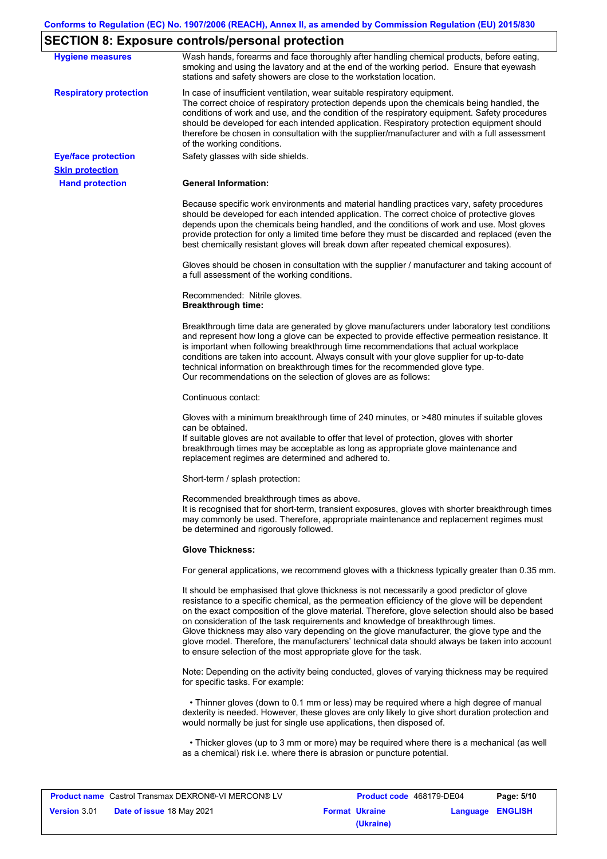# **SECTION 8: Exposure controls/personal protection**

| <b>Hygiene measures</b>                          | Wash hands, forearms and face thoroughly after handling chemical products, before eating,<br>smoking and using the lavatory and at the end of the working period. Ensure that eyewash<br>stations and safety showers are close to the workstation location.                                                                                                                                                                                                                                                                                                                                                                                       |
|--------------------------------------------------|---------------------------------------------------------------------------------------------------------------------------------------------------------------------------------------------------------------------------------------------------------------------------------------------------------------------------------------------------------------------------------------------------------------------------------------------------------------------------------------------------------------------------------------------------------------------------------------------------------------------------------------------------|
| <b>Respiratory protection</b>                    | In case of insufficient ventilation, wear suitable respiratory equipment.<br>The correct choice of respiratory protection depends upon the chemicals being handled, the<br>conditions of work and use, and the condition of the respiratory equipment. Safety procedures<br>should be developed for each intended application. Respiratory protection equipment should<br>therefore be chosen in consultation with the supplier/manufacturer and with a full assessment<br>of the working conditions.                                                                                                                                             |
| <b>Eye/face protection</b>                       | Safety glasses with side shields.                                                                                                                                                                                                                                                                                                                                                                                                                                                                                                                                                                                                                 |
| <b>Skin protection</b><br><b>Hand protection</b> | <b>General Information:</b>                                                                                                                                                                                                                                                                                                                                                                                                                                                                                                                                                                                                                       |
|                                                  |                                                                                                                                                                                                                                                                                                                                                                                                                                                                                                                                                                                                                                                   |
|                                                  | Because specific work environments and material handling practices vary, safety procedures<br>should be developed for each intended application. The correct choice of protective gloves<br>depends upon the chemicals being handled, and the conditions of work and use. Most gloves<br>provide protection for only a limited time before they must be discarded and replaced (even the<br>best chemically resistant gloves will break down after repeated chemical exposures).                                                                                                                                                                  |
|                                                  | Gloves should be chosen in consultation with the supplier / manufacturer and taking account of<br>a full assessment of the working conditions.                                                                                                                                                                                                                                                                                                                                                                                                                                                                                                    |
|                                                  | Recommended: Nitrile gloves.<br><b>Breakthrough time:</b>                                                                                                                                                                                                                                                                                                                                                                                                                                                                                                                                                                                         |
|                                                  | Breakthrough time data are generated by glove manufacturers under laboratory test conditions<br>and represent how long a glove can be expected to provide effective permeation resistance. It<br>is important when following breakthrough time recommendations that actual workplace<br>conditions are taken into account. Always consult with your glove supplier for up-to-date<br>technical information on breakthrough times for the recommended glove type.<br>Our recommendations on the selection of gloves are as follows:                                                                                                                |
|                                                  | Continuous contact:                                                                                                                                                                                                                                                                                                                                                                                                                                                                                                                                                                                                                               |
|                                                  | Gloves with a minimum breakthrough time of 240 minutes, or >480 minutes if suitable gloves<br>can be obtained.<br>If suitable gloves are not available to offer that level of protection, gloves with shorter<br>breakthrough times may be acceptable as long as appropriate glove maintenance and<br>replacement regimes are determined and adhered to.                                                                                                                                                                                                                                                                                          |
|                                                  | Short-term / splash protection:                                                                                                                                                                                                                                                                                                                                                                                                                                                                                                                                                                                                                   |
|                                                  | Recommended breakthrough times as above.<br>It is recognised that for short-term, transient exposures, gloves with shorter breakthrough times<br>may commonly be used. Therefore, appropriate maintenance and replacement regimes must<br>be determined and rigorously followed.                                                                                                                                                                                                                                                                                                                                                                  |
|                                                  | <b>Glove Thickness:</b>                                                                                                                                                                                                                                                                                                                                                                                                                                                                                                                                                                                                                           |
|                                                  | For general applications, we recommend gloves with a thickness typically greater than 0.35 mm.                                                                                                                                                                                                                                                                                                                                                                                                                                                                                                                                                    |
|                                                  | It should be emphasised that glove thickness is not necessarily a good predictor of glove<br>resistance to a specific chemical, as the permeation efficiency of the glove will be dependent<br>on the exact composition of the glove material. Therefore, glove selection should also be based<br>on consideration of the task requirements and knowledge of breakthrough times.<br>Glove thickness may also vary depending on the glove manufacturer, the glove type and the<br>glove model. Therefore, the manufacturers' technical data should always be taken into account<br>to ensure selection of the most appropriate glove for the task. |
|                                                  | Note: Depending on the activity being conducted, gloves of varying thickness may be required<br>for specific tasks. For example:                                                                                                                                                                                                                                                                                                                                                                                                                                                                                                                  |
|                                                  | • Thinner gloves (down to 0.1 mm or less) may be required where a high degree of manual<br>dexterity is needed. However, these gloves are only likely to give short duration protection and<br>would normally be just for single use applications, then disposed of.                                                                                                                                                                                                                                                                                                                                                                              |
|                                                  | • Thicker gloves (up to 3 mm or more) may be required where there is a mechanical (as well<br>as a chemical) risk i.e. where there is abrasion or puncture potential.                                                                                                                                                                                                                                                                                                                                                                                                                                                                             |

| <b>Product name</b> Castrol Transmax DEXRON®-VI MERCON® LV |                                  | Product code 468179-DE04 |                       | Page: 5/10       |  |
|------------------------------------------------------------|----------------------------------|--------------------------|-----------------------|------------------|--|
| <b>Version 3.01</b>                                        | <b>Date of issue 18 May 2021</b> |                          | <b>Format Ukraine</b> | Language ENGLISH |  |
|                                                            |                                  |                          | (Ukraine)             |                  |  |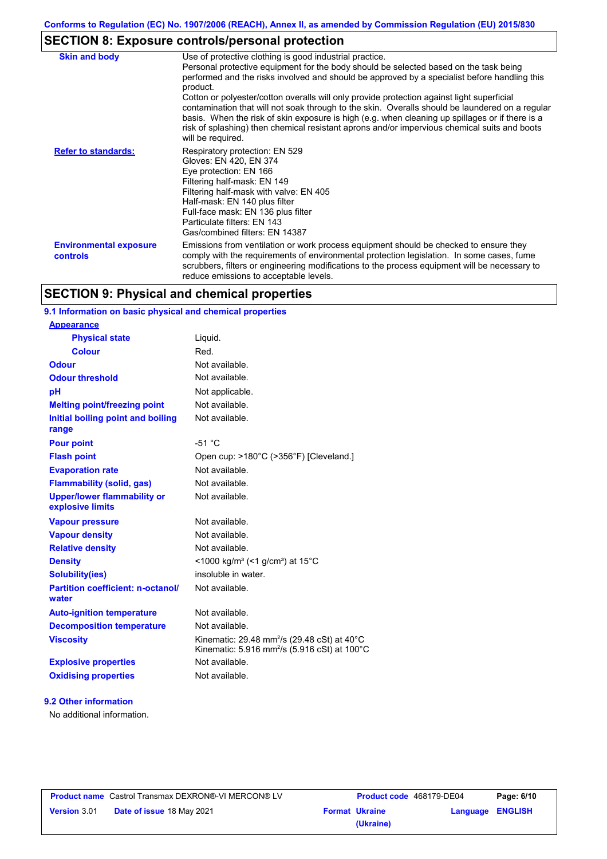## **SECTION 8: Exposure controls/personal protection**

| <b>Skin and body</b>                             | Use of protective clothing is good industrial practice.<br>Personal protective equipment for the body should be selected based on the task being<br>performed and the risks involved and should be approved by a specialist before handling this<br>product.<br>Cotton or polyester/cotton overalls will only provide protection against light superficial<br>contamination that will not soak through to the skin. Overalls should be laundered on a regular<br>basis. When the risk of skin exposure is high (e.g. when cleaning up spillages or if there is a<br>risk of splashing) then chemical resistant aprons and/or impervious chemical suits and boots<br>will be required. |
|--------------------------------------------------|---------------------------------------------------------------------------------------------------------------------------------------------------------------------------------------------------------------------------------------------------------------------------------------------------------------------------------------------------------------------------------------------------------------------------------------------------------------------------------------------------------------------------------------------------------------------------------------------------------------------------------------------------------------------------------------|
| <b>Refer to standards:</b>                       | Respiratory protection: EN 529<br>Gloves: EN 420, EN 374<br>Eye protection: EN 166<br>Filtering half-mask: EN 149<br>Filtering half-mask with valve: EN 405<br>Half-mask: EN 140 plus filter<br>Full-face mask: EN 136 plus filter<br>Particulate filters: EN 143<br>Gas/combined filters: EN 14387                                                                                                                                                                                                                                                                                                                                                                                   |
| <b>Environmental exposure</b><br><b>controls</b> | Emissions from ventilation or work process equipment should be checked to ensure they<br>comply with the requirements of environmental protection legislation. In some cases, fume<br>scrubbers, filters or engineering modifications to the process equipment will be necessary to<br>reduce emissions to acceptable levels.                                                                                                                                                                                                                                                                                                                                                         |

## **SECTION 9: Physical and chemical properties**

### **9.1 Information on basic physical and chemical properties**

| <b>Appearance</b>                                      |                                                                                                                                           |
|--------------------------------------------------------|-------------------------------------------------------------------------------------------------------------------------------------------|
| <b>Physical state</b>                                  | Liquid.                                                                                                                                   |
| <b>Colour</b>                                          | Red.                                                                                                                                      |
| <b>Odour</b>                                           | Not available.                                                                                                                            |
| <b>Odour threshold</b>                                 | Not available.                                                                                                                            |
| pH                                                     | Not applicable.                                                                                                                           |
| <b>Melting point/freezing point</b>                    | Not available.                                                                                                                            |
| Initial boiling point and boiling<br>range             | Not available.                                                                                                                            |
| <b>Pour point</b>                                      | $-51 °C$                                                                                                                                  |
| <b>Flash point</b>                                     | Open cup: >180°C (>356°F) [Cleveland.]                                                                                                    |
| <b>Evaporation rate</b>                                | Not available.                                                                                                                            |
| <b>Flammability (solid, gas)</b>                       | Not available.                                                                                                                            |
| <b>Upper/lower flammability or</b><br>explosive limits | Not available.                                                                                                                            |
| <b>Vapour pressure</b>                                 | Not available.                                                                                                                            |
| <b>Vapour density</b>                                  | Not available.                                                                                                                            |
| <b>Relative density</b>                                | Not available.                                                                                                                            |
| <b>Density</b>                                         | <1000 kg/m <sup>3</sup> (<1 g/cm <sup>3</sup> ) at 15 <sup>°</sup> C                                                                      |
| <b>Solubility(ies)</b>                                 | insoluble in water.                                                                                                                       |
| <b>Partition coefficient: n-octanol/</b><br>water      | Not available.                                                                                                                            |
| <b>Auto-ignition temperature</b>                       | Not available.                                                                                                                            |
| <b>Decomposition temperature</b>                       | Not available.                                                                                                                            |
| <b>Viscosity</b>                                       | Kinematic: 29.48 mm <sup>2</sup> /s (29.48 cSt) at 40 $^{\circ}$ C<br>Kinematic: 5.916 mm <sup>2</sup> /s (5.916 cSt) at 100 $^{\circ}$ C |
| <b>Explosive properties</b>                            | Not available.                                                                                                                            |
| <b>Oxidising properties</b>                            | Not available.                                                                                                                            |
|                                                        |                                                                                                                                           |

### **9.2 Other information**

No additional information.

|                     | <b>Product name</b> Castrol Transmax DEXRON®-VI MERCON® LV |
|---------------------|------------------------------------------------------------|
| <b>Version 3.01</b> | <b>Date of issue 18 May 2021</b>                           |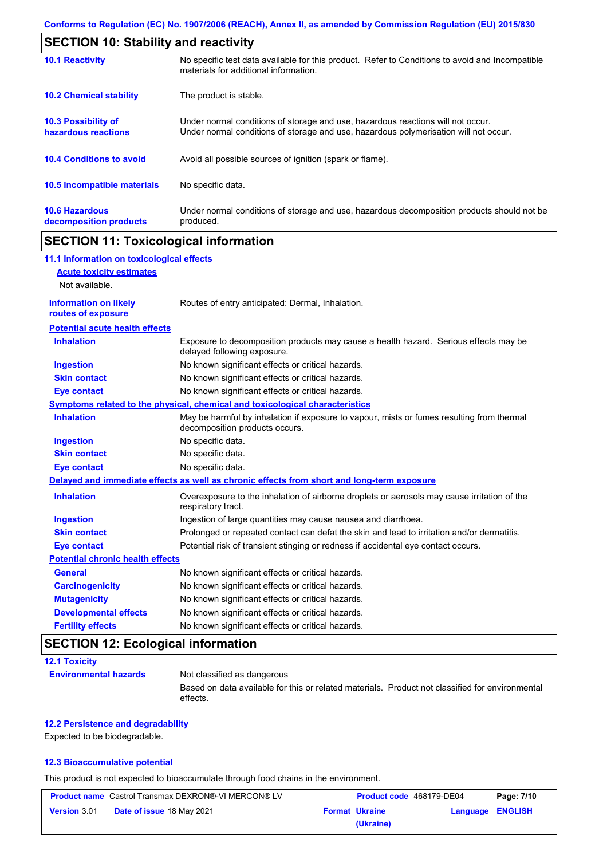| <b>SECTION 10: Stability and reactivity</b>       |                                                                                                                                                                         |  |
|---------------------------------------------------|-------------------------------------------------------------------------------------------------------------------------------------------------------------------------|--|
| <b>10.1 Reactivity</b>                            | No specific test data available for this product. Refer to Conditions to avoid and Incompatible<br>materials for additional information.                                |  |
| <b>10.2 Chemical stability</b>                    | The product is stable.                                                                                                                                                  |  |
| <b>10.3 Possibility of</b><br>hazardous reactions | Under normal conditions of storage and use, hazardous reactions will not occur.<br>Under normal conditions of storage and use, hazardous polymerisation will not occur. |  |
| <b>10.4 Conditions to avoid</b>                   | Avoid all possible sources of ignition (spark or flame).                                                                                                                |  |
| 10.5 Incompatible materials                       | No specific data.                                                                                                                                                       |  |
| <b>10.6 Hazardous</b><br>decomposition products   | Under normal conditions of storage and use, hazardous decomposition products should not be<br>produced.                                                                 |  |

## **SECTION 11: Toxicological information**

| 11.1 Information on toxicological effects          |                                                                                                                             |
|----------------------------------------------------|-----------------------------------------------------------------------------------------------------------------------------|
| <b>Acute toxicity estimates</b>                    |                                                                                                                             |
| Not available.                                     |                                                                                                                             |
| <b>Information on likely</b><br>routes of exposure | Routes of entry anticipated: Dermal, Inhalation.                                                                            |
| <b>Potential acute health effects</b>              |                                                                                                                             |
| <b>Inhalation</b>                                  | Exposure to decomposition products may cause a health hazard. Serious effects may be<br>delayed following exposure.         |
| <b>Ingestion</b>                                   | No known significant effects or critical hazards.                                                                           |
| <b>Skin contact</b>                                | No known significant effects or critical hazards.                                                                           |
| <b>Eye contact</b>                                 | No known significant effects or critical hazards.                                                                           |
|                                                    | Symptoms related to the physical, chemical and toxicological characteristics                                                |
| <b>Inhalation</b>                                  | May be harmful by inhalation if exposure to vapour, mists or fumes resulting from thermal<br>decomposition products occurs. |
| <b>Ingestion</b>                                   | No specific data.                                                                                                           |
| <b>Skin contact</b>                                | No specific data.                                                                                                           |
| <b>Eye contact</b>                                 | No specific data.                                                                                                           |
|                                                    | Delayed and immediate effects as well as chronic effects from short and long-term exposure                                  |
| <b>Inhalation</b>                                  | Overexposure to the inhalation of airborne droplets or aerosols may cause irritation of the<br>respiratory tract.           |
| <b>Ingestion</b>                                   | Ingestion of large quantities may cause nausea and diarrhoea.                                                               |
| <b>Skin contact</b>                                | Prolonged or repeated contact can defat the skin and lead to irritation and/or dermatitis.                                  |
| <b>Eye contact</b>                                 | Potential risk of transient stinging or redness if accidental eye contact occurs.                                           |
| <b>Potential chronic health effects</b>            |                                                                                                                             |
| <b>General</b>                                     | No known significant effects or critical hazards.                                                                           |
| <b>Carcinogenicity</b>                             | No known significant effects or critical hazards.                                                                           |
| <b>Mutagenicity</b>                                | No known significant effects or critical hazards.                                                                           |
| <b>Developmental effects</b>                       | No known significant effects or critical hazards.                                                                           |
| <b>Fertility effects</b>                           | No known significant effects or critical hazards.                                                                           |

## **SECTION 12: Ecological information**

| <b>12.1 Toxicity</b>         |                                                                                                             |
|------------------------------|-------------------------------------------------------------------------------------------------------------|
| <b>Environmental hazards</b> | Not classified as dangerous                                                                                 |
|                              | Based on data available for this or related materials. Product not classified for environmental<br>effects. |

### **12.2 Persistence and degradability**

Expected to be biodegradable.

### **12.3 Bioaccumulative potential**

This product is not expected to bioaccumulate through food chains in the environment.

| <b>Product name</b> Castrol Transmax DEXRON®-VI MERCON® LV |                                  |  | Product code 468179-DE04 |                  | Page: 7/10 |
|------------------------------------------------------------|----------------------------------|--|--------------------------|------------------|------------|
| <b>Version 3.01</b>                                        | <b>Date of issue 18 May 2021</b> |  | <b>Format Ukraine</b>    | Language ENGLISH |            |
|                                                            |                                  |  | (Ukraine)                |                  |            |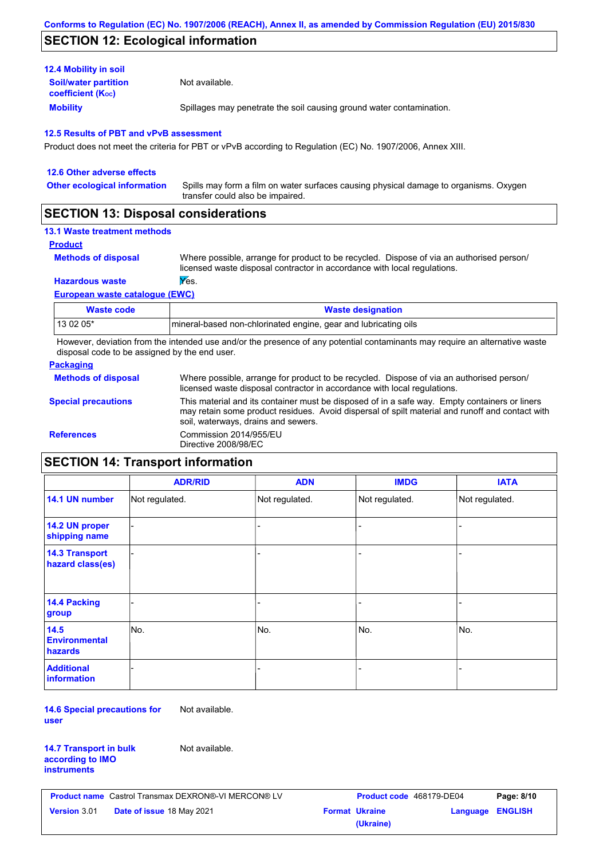## **SECTION 12: Ecological information**

| <b>12.4 Mobility in soil</b>                                  |                                                                      |
|---------------------------------------------------------------|----------------------------------------------------------------------|
| <b>Soil/water partition</b><br>coefficient (K <sub>oc</sub> ) | Not available.                                                       |
| <b>Mobility</b>                                               | Spillages may penetrate the soil causing ground water contamination. |

### **12.5 Results of PBT and vPvB assessment**

Product does not meet the criteria for PBT or vPvB according to Regulation (EC) No. 1907/2006, Annex XIII.

| 12.6 Other adverse effects          |                                                                                                                           |
|-------------------------------------|---------------------------------------------------------------------------------------------------------------------------|
| <b>Other ecological information</b> | Spills may form a film on water surfaces causing physical damage to organisms. Oxygen<br>transfer could also be impaired. |
| <b>APAPIALI 14 BI</b>               |                                                                                                                           |

### **SECTION 13: Disposal considerations**

### **13.1 Waste treatment methods**

### **Product**

**Methods of disposal**

Where possible, arrange for product to be recycled. Dispose of via an authorised person/ licensed waste disposal contractor in accordance with local regulations.

### **Hazardous waste Yes.**

**European waste catalogue (EWC)**

| Waste code | <b>Waste designation</b>                                        |
|------------|-----------------------------------------------------------------|
| 13 02 05*  | mineral-based non-chlorinated engine, gear and lubricating oils |

However, deviation from the intended use and/or the presence of any potential contaminants may require an alternative waste disposal code to be assigned by the end user.

### **Packaging**

| <b>Methods of disposal</b> | Where possible, arrange for product to be recycled. Dispose of via an authorised person/<br>licensed waste disposal contractor in accordance with local regulations.                                                                    |
|----------------------------|-----------------------------------------------------------------------------------------------------------------------------------------------------------------------------------------------------------------------------------------|
| <b>Special precautions</b> | This material and its container must be disposed of in a safe way. Empty containers or liners<br>may retain some product residues. Avoid dispersal of spilt material and runoff and contact with<br>soil, waterways, drains and sewers. |
| <b>References</b>          | Commission 2014/955/EU<br>Directive 2008/98/EC                                                                                                                                                                                          |

## **SECTION 14: Transport information**

|                                                | <b>ADR/RID</b> | <b>ADN</b>     | <b>IMDG</b>    | <b>IATA</b>    |
|------------------------------------------------|----------------|----------------|----------------|----------------|
| 14.1 UN number                                 | Not regulated. | Not regulated. | Not regulated. | Not regulated. |
| 14.2 UN proper<br>shipping name                |                |                |                |                |
| <b>14.3 Transport</b><br>hazard class(es)      |                |                |                |                |
| 14.4 Packing<br>group                          |                |                |                |                |
| 14.5<br><b>Environmental</b><br><b>hazards</b> | No.            | No.            | No.            | No.            |
| <b>Additional</b><br>information               |                |                |                |                |

**14.6 Special precautions for user** Not available.

#### **14.7 Transport in bulk according to IMO instruments**

Not available.

|                     | <b>Product name</b> Castrol Transmax DEXRON®-VI MERCON® LV |
|---------------------|------------------------------------------------------------|
| <b>Version 3.01</b> | <b>Date of issue 18 May 2021</b>                           |

| Castrol Transmax DEXRON®-VI MERCON® LV | <b>Product code</b> 468179-DE04 |                       | Page: 8/10              |  |
|----------------------------------------|---------------------------------|-----------------------|-------------------------|--|
| <b>Date of issue 18 May 2021</b>       |                                 | <b>Format Ukraine</b> | <b>Language ENGLISH</b> |  |
|                                        |                                 | (Ukraine)             |                         |  |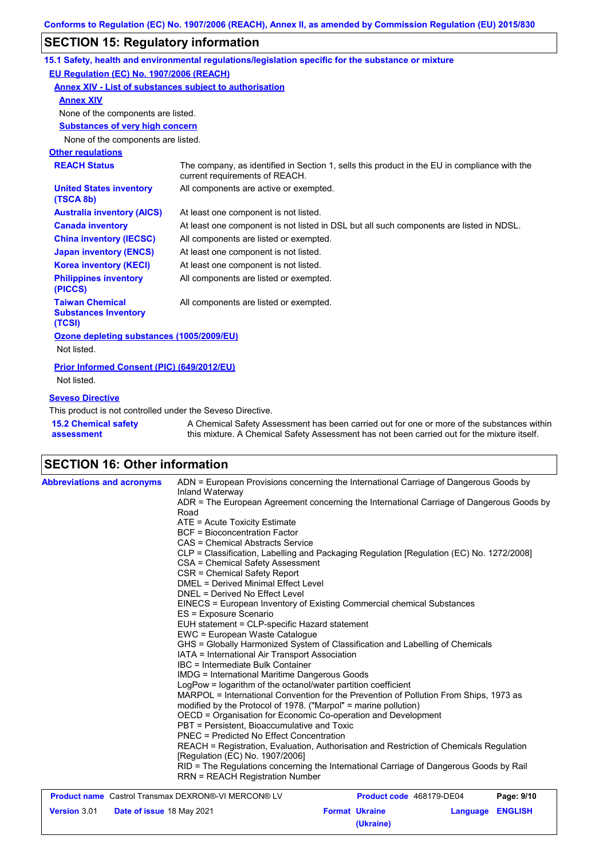## **SECTION 15: Regulatory information**

|                                                                                                                                                                                                                                        | 15.1 Safety, health and environmental regulations/legislation specific for the substance or mixture                            |  |  |  |
|----------------------------------------------------------------------------------------------------------------------------------------------------------------------------------------------------------------------------------------|--------------------------------------------------------------------------------------------------------------------------------|--|--|--|
| EU Regulation (EC) No. 1907/2006 (REACH)                                                                                                                                                                                               |                                                                                                                                |  |  |  |
| Annex XIV - List of substances subject to authorisation                                                                                                                                                                                |                                                                                                                                |  |  |  |
| <b>Annex XIV</b>                                                                                                                                                                                                                       |                                                                                                                                |  |  |  |
| None of the components are listed.                                                                                                                                                                                                     |                                                                                                                                |  |  |  |
| <b>Substances of very high concern</b>                                                                                                                                                                                                 |                                                                                                                                |  |  |  |
| None of the components are listed.                                                                                                                                                                                                     |                                                                                                                                |  |  |  |
| <b>Other regulations</b>                                                                                                                                                                                                               |                                                                                                                                |  |  |  |
| <b>REACH Status</b>                                                                                                                                                                                                                    | The company, as identified in Section 1, sells this product in the EU in compliance with the<br>current requirements of REACH. |  |  |  |
| <b>United States inventory</b><br>(TSCA 8b)                                                                                                                                                                                            | All components are active or exempted.                                                                                         |  |  |  |
| <b>Australia inventory (AICS)</b>                                                                                                                                                                                                      | At least one component is not listed.                                                                                          |  |  |  |
| <b>Canada inventory</b>                                                                                                                                                                                                                | At least one component is not listed in DSL but all such components are listed in NDSL.                                        |  |  |  |
| <b>China inventory (IECSC)</b>                                                                                                                                                                                                         | All components are listed or exempted.                                                                                         |  |  |  |
| <b>Japan inventory (ENCS)</b>                                                                                                                                                                                                          | At least one component is not listed.                                                                                          |  |  |  |
| <b>Korea inventory (KECI)</b>                                                                                                                                                                                                          | At least one component is not listed.                                                                                          |  |  |  |
| <b>Philippines inventory</b><br>(PICCS)                                                                                                                                                                                                | All components are listed or exempted.                                                                                         |  |  |  |
| <b>Taiwan Chemical</b><br>All components are listed or exempted.<br><b>Substances Inventory</b><br>(TCSI)                                                                                                                              |                                                                                                                                |  |  |  |
| Ozone depleting substances (1005/2009/EU)<br>Not listed.                                                                                                                                                                               |                                                                                                                                |  |  |  |
| Prior Informed Consent (PIC) (649/2012/EU)<br>Not listed.                                                                                                                                                                              |                                                                                                                                |  |  |  |
| <b>Seveso Directive</b><br>This product is not controlled under the Seveso Directive.                                                                                                                                                  |                                                                                                                                |  |  |  |
| <b>15.2 Chemical safety</b><br>A Chemical Safety Assessment has been carried out for one or more of the substances within<br>this mixture. A Chemical Safety Assessment has not been carried out for the mixture itself.<br>assessment |                                                                                                                                |  |  |  |

# **SECTION 16: Other information**

| <b>Abbreviations and acronyms</b> | ADN = European Provisions concerning the International Carriage of Dangerous Goods by<br>Inland Waterway<br>ADR = The European Agreement concerning the International Carriage of Dangerous Goods by<br>Road<br>ATE = Acute Toxicity Estimate<br><b>BCF</b> = Bioconcentration Factor<br>CAS = Chemical Abstracts Service<br>CLP = Classification, Labelling and Packaging Regulation [Regulation (EC) No. 1272/2008]<br>CSA = Chemical Safety Assessment<br>CSR = Chemical Safety Report<br>DMEL = Derived Minimal Effect Level<br>DNEL = Derived No Effect Level<br>EINECS = European Inventory of Existing Commercial chemical Substances<br>ES = Exposure Scenario<br>EUH statement = CLP-specific Hazard statement<br>EWC = European Waste Catalogue<br>GHS = Globally Harmonized System of Classification and Labelling of Chemicals<br>IATA = International Air Transport Association<br>IBC = Intermediate Bulk Container<br>IMDG = International Maritime Dangerous Goods<br>LogPow = logarithm of the octanol/water partition coefficient<br>MARPOL = International Convention for the Prevention of Pollution From Ships, 1973 as<br>modified by the Protocol of 1978. ("Marpol" = marine pollution)<br>OECD = Organisation for Economic Co-operation and Development<br>PBT = Persistent. Bioaccumulative and Toxic<br>PNEC = Predicted No Effect Concentration<br>REACH = Registration, Evaluation, Authorisation and Restriction of Chemicals Regulation |
|-----------------------------------|------------------------------------------------------------------------------------------------------------------------------------------------------------------------------------------------------------------------------------------------------------------------------------------------------------------------------------------------------------------------------------------------------------------------------------------------------------------------------------------------------------------------------------------------------------------------------------------------------------------------------------------------------------------------------------------------------------------------------------------------------------------------------------------------------------------------------------------------------------------------------------------------------------------------------------------------------------------------------------------------------------------------------------------------------------------------------------------------------------------------------------------------------------------------------------------------------------------------------------------------------------------------------------------------------------------------------------------------------------------------------------------------------------------------------------------------------------------------|
|                                   | [Regulation (EC) No. 1907/2006]<br>RID = The Regulations concerning the International Carriage of Dangerous Goods by Rail<br><b>RRN = REACH Registration Number</b>                                                                                                                                                                                                                                                                                                                                                                                                                                                                                                                                                                                                                                                                                                                                                                                                                                                                                                                                                                                                                                                                                                                                                                                                                                                                                                    |

| <b>Product name</b> Castrol Transmax DEXRON®-VI MERCON® LV |                                  | <b>Product code</b> 468179-DE04 |                       | Page: 9/10       |  |
|------------------------------------------------------------|----------------------------------|---------------------------------|-----------------------|------------------|--|
| <b>Version 3.01</b>                                        | <b>Date of issue 18 May 2021</b> |                                 | <b>Format Ukraine</b> | Language ENGLISH |  |
|                                                            |                                  |                                 | (Ukraine)             |                  |  |